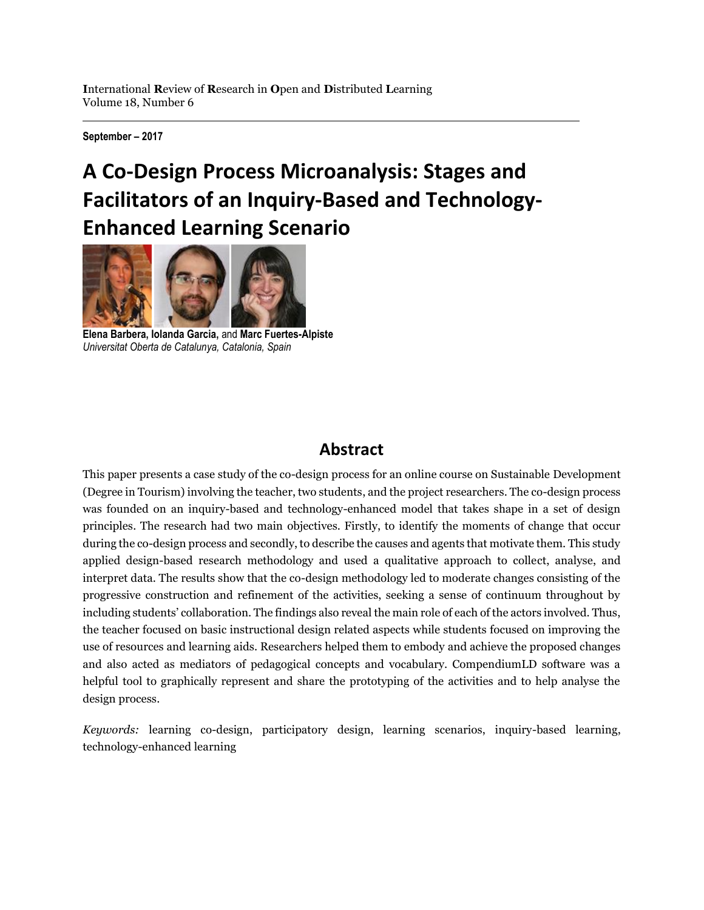**I**nternational **R**eview of **R**esearch in **O**pen and **D**istributed **L**earning Volume 18, Number 6

**September – 2017**

# **A Co-Design Process Microanalysis: Stages and Facilitators of an Inquiry-Based and Technology-Enhanced Learning Scenario**



**Elena Barbera, Iolanda Garcia,** and **Marc Fuertes-Alpiste** *Universitat Oberta de Catalunya, Catalonia, Spain* 

### **Abstract**

This paper presents a case study of the co-design process for an online course on Sustainable Development (Degree in Tourism) involving the teacher, two students, and the project researchers. The co-design process was founded on an inquiry-based and technology-enhanced model that takes shape in a set of design principles. The research had two main objectives. Firstly, to identify the moments of change that occur during the co-design process and secondly, to describe the causes and agents that motivate them. This study applied design-based research methodology and used a qualitative approach to collect, analyse, and interpret data. The results show that the co-design methodology led to moderate changes consisting of the progressive construction and refinement of the activities, seeking a sense of continuum throughout by including students' collaboration. The findings also reveal the main role of each of the actors involved. Thus, the teacher focused on basic instructional design related aspects while students focused on improving the use of resources and learning aids. Researchers helped them to embody and achieve the proposed changes and also acted as mediators of pedagogical concepts and vocabulary. CompendiumLD software was a helpful tool to graphically represent and share the prototyping of the activities and to help analyse the design process.

*Keywords:* learning co-design, participatory design, learning scenarios, inquiry-based learning, technology-enhanced learning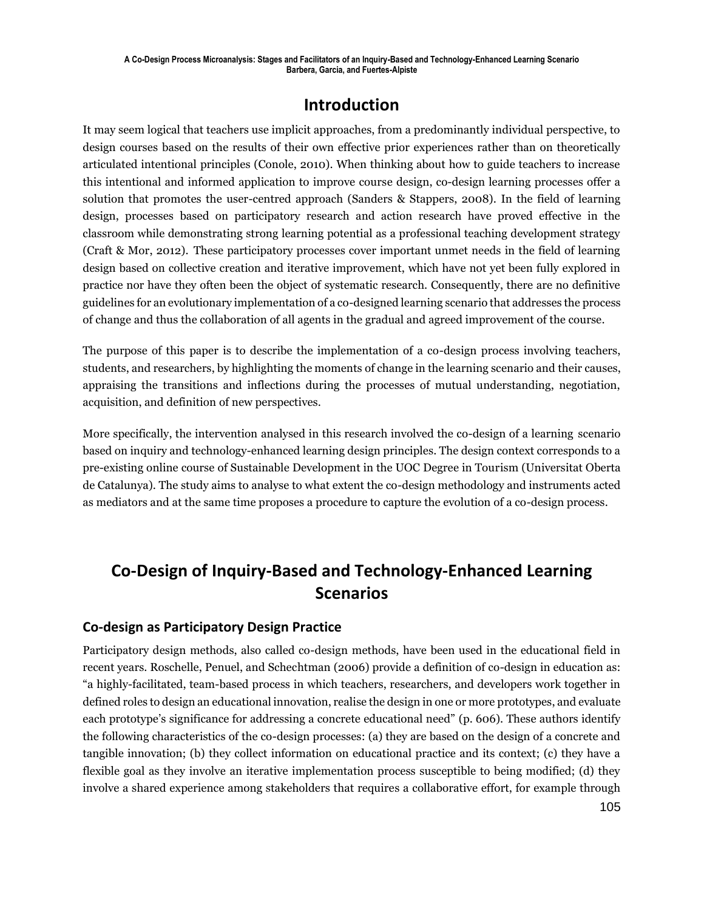## **Introduction**

It may seem logical that teachers use implicit approaches, from a predominantly individual perspective, to design courses based on the results of their own effective prior experiences rather than on theoretically articulated intentional principles (Conole, 2010). When thinking about how to guide teachers to increase this intentional and informed application to improve course design, co-design learning processes offer a solution that promotes the user-centred approach (Sanders & Stappers, 2008). In the field of learning design, processes based on participatory research and action research have proved effective in the classroom while demonstrating strong learning potential as a professional teaching development strategy (Craft & Mor, 2012). These participatory processes cover important unmet needs in the field of learning design based on collective creation and iterative improvement, which have not yet been fully explored in practice nor have they often been the object of systematic research. Consequently, there are no definitive guidelines for an evolutionary implementation of a co-designed learning scenario that addresses the process of change and thus the collaboration of all agents in the gradual and agreed improvement of the course.

The purpose of this paper is to describe the implementation of a co-design process involving teachers, students, and researchers, by highlighting the moments of change in the learning scenario and their causes, appraising the transitions and inflections during the processes of mutual understanding, negotiation, acquisition, and definition of new perspectives.

More specifically, the intervention analysed in this research involved the co-design of a learning scenario based on inquiry and technology-enhanced learning design principles. The design context corresponds to a pre-existing online course of Sustainable Development in the UOC Degree in Tourism (Universitat Oberta de Catalunya). The study aims to analyse to what extent the co-design methodology and instruments acted as mediators and at the same time proposes a procedure to capture the evolution of a co-design process.

## **Co-Design of Inquiry-Based and Technology-Enhanced Learning Scenarios**

### **Co-design as Participatory Design Practice**

Participatory design methods, also called co-design methods, have been used in the educational field in recent years. Roschelle, Penuel, and Schechtman (2006) provide a definition of co-design in education as: "a highly-facilitated, team-based process in which teachers, researchers, and developers work together in defined roles to design an educational innovation, realise the design in one or more prototypes, and evaluate each prototype's significance for addressing a concrete educational need" (p. 606). These authors identify the following characteristics of the co-design processes: (a) they are based on the design of a concrete and tangible innovation; (b) they collect information on educational practice and its context; (c) they have a flexible goal as they involve an iterative implementation process susceptible to being modified; (d) they involve a shared experience among stakeholders that requires a collaborative effort, for example through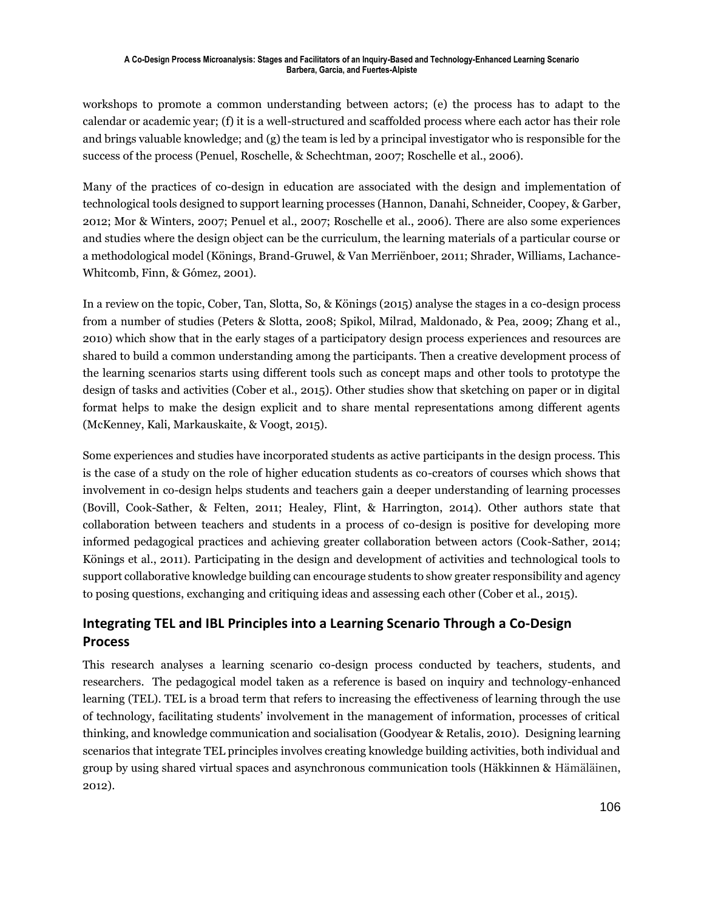workshops to promote a common understanding between actors; (e) the process has to adapt to the calendar or academic year; (f) it is a well-structured and scaffolded process where each actor has their role and brings valuable knowledge; and (g) the team is led by a principal investigator who is responsible for the success of the process (Penuel, Roschelle, & Schechtman, 2007; Roschelle et al., 2006).

Many of the practices of co-design in education are associated with the design and implementation of technological tools designed to support learning processes (Hannon, Danahi, Schneider, Coopey, & Garber, 2012; Mor & Winters, 2007; Penuel et al., 2007; Roschelle et al., 2006). There are also some experiences and studies where the design object can be the curriculum, the learning materials of a particular course or a methodological model (Könings, Brand-Gruwel, & Van Merriënboer, 2011; Shrader, Williams, Lachance-Whitcomb, Finn, & Gómez, 2001).

In a review on the topic, Cober, Tan, Slotta, So, & Könings (2015) analyse the stages in a co-design process from a number of studies (Peters & Slotta, 2008; Spikol, Milrad, Maldonado, & Pea, 2009; Zhang et al., 2010) which show that in the early stages of a participatory design process experiences and resources are shared to build a common understanding among the participants. Then a creative development process of the learning scenarios starts using different tools such as concept maps and other tools to prototype the design of tasks and activities (Cober et al., 2015). Other studies show that sketching on paper or in digital format helps to make the design explicit and to share mental representations among different agents (McKenney, Kali, Markauskaite, & Voogt, 2015).

Some experiences and studies have incorporated students as active participants in the design process. This is the case of a study on the role of higher education students as co-creators of courses which shows that involvement in co-design helps students and teachers gain a deeper understanding of learning processes (Bovill, Cook-Sather, & Felten, 2011; Healey, Flint, & Harrington, 2014). Other authors state that collaboration between teachers and students in a process of co-design is positive for developing more informed pedagogical practices and achieving greater collaboration between actors (Cook-Sather, 2014; Könings et al., 2011). Participating in the design and development of activities and technological tools to support collaborative knowledge building can encourage students to show greater responsibility and agency to posing questions, exchanging and critiquing ideas and assessing each other (Cober et al., 2015).

### **Integrating TEL and IBL Principles into a Learning Scenario Through a Co-Design Process**

This research analyses a learning scenario co-design process conducted by teachers, students, and researchers. The pedagogical model taken as a reference is based on inquiry and technology-enhanced learning (TEL). TEL is a broad term that refers to increasing the effectiveness of learning through the use of technology, facilitating students' involvement in the management of information, processes of critical thinking, and knowledge communication and socialisation (Goodyear & Retalis, 2010). Designing learning scenarios that integrate TEL principles involves creating knowledge building activities, both individual and group by using shared virtual spaces and asynchronous communication tools (Häkkinnen & Hämäläinen, 2012).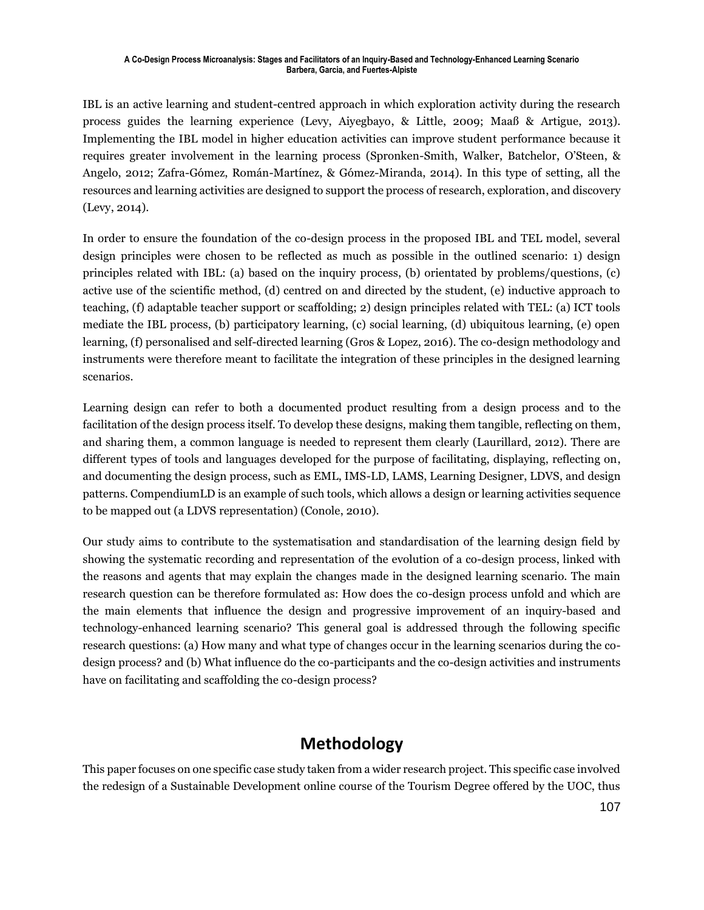IBL is an active learning and student-centred approach in which exploration activity during the research process guides the learning experience (Levy, Aiyegbayo, & Little, 2009; Maaß & Artigue, 2013). Implementing the IBL model in higher education activities can improve student performance because it requires greater involvement in the learning process (Spronken-Smith, Walker, Batchelor, O'Steen, & Angelo, 2012; Zafra-Gómez, Román-Martínez, & Gómez-Miranda, 2014). In this type of setting, all the resources and learning activities are designed to support the process of research, exploration, and discovery (Levy, 2014).

In order to ensure the foundation of the co-design process in the proposed IBL and TEL model, several design principles were chosen to be reflected as much as possible in the outlined scenario: 1) design principles related with IBL: (a) based on the inquiry process, (b) orientated by problems/questions, (c) active use of the scientific method, (d) centred on and directed by the student, (e) inductive approach to teaching, (f) adaptable teacher support or scaffolding; 2) design principles related with TEL: (a) ICT tools mediate the IBL process, (b) participatory learning, (c) social learning, (d) ubiquitous learning, (e) open learning, (f) personalised and self-directed learning (Gros & Lopez, 2016). The co-design methodology and instruments were therefore meant to facilitate the integration of these principles in the designed learning scenarios.

Learning design can refer to both a documented product resulting from a design process and to the facilitation of the design process itself. To develop these designs, making them tangible, reflecting on them, and sharing them, a common language is needed to represent them clearly (Laurillard, 2012). There are different types of tools and languages developed for the purpose of facilitating, displaying, reflecting on, and documenting the design process, such as EML, IMS-LD, LAMS, Learning Designer, LDVS, and design patterns. CompendiumLD is an example of such tools, which allows a design or learning activities sequence to be mapped out (a LDVS representation) (Conole, 2010).

Our study aims to contribute to the systematisation and standardisation of the learning design field by showing the systematic recording and representation of the evolution of a co-design process, linked with the reasons and agents that may explain the changes made in the designed learning scenario. The main research question can be therefore formulated as: How does the co-design process unfold and which are the main elements that influence the design and progressive improvement of an inquiry-based and technology-enhanced learning scenario? This general goal is addressed through the following specific research questions: (a) How many and what type of changes occur in the learning scenarios during the codesign process? and (b) What influence do the co-participants and the co-design activities and instruments have on facilitating and scaffolding the co-design process?

## **Methodology**

This paper focuses on one specific case study taken from a wider research project. This specific case involved the redesign of a Sustainable Development online course of the Tourism Degree offered by the UOC, thus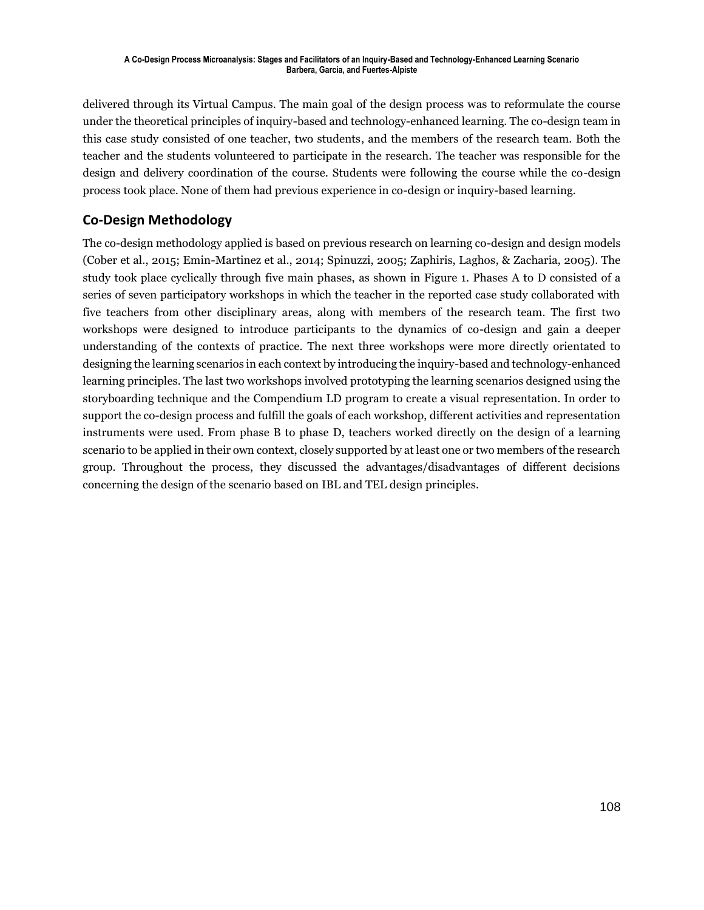delivered through its Virtual Campus. The main goal of the design process was to reformulate the course under the theoretical principles of inquiry-based and technology-enhanced learning. The co-design team in this case study consisted of one teacher, two students, and the members of the research team. Both the teacher and the students volunteered to participate in the research. The teacher was responsible for the design and delivery coordination of the course. Students were following the course while the co-design process took place. None of them had previous experience in co-design or inquiry-based learning.

### **Co-Design Methodology**

The co-design methodology applied is based on previous research on learning co-design and design models (Cober et al., 2015; Emin-Martinez et al., 2014; Spinuzzi, 2005; Zaphiris, Laghos, & Zacharia, 2005). The study took place cyclically through five main phases, as shown in Figure 1. Phases A to D consisted of a series of seven participatory workshops in which the teacher in the reported case study collaborated with five teachers from other disciplinary areas, along with members of the research team. The first two workshops were designed to introduce participants to the dynamics of co-design and gain a deeper understanding of the contexts of practice. The next three workshops were more directly orientated to designing the learning scenarios in each context by introducing the inquiry-based and technology-enhanced learning principles. The last two workshops involved prototyping the learning scenarios designed using the storyboarding technique and the Compendium LD program to create a visual representation. In order to support the co-design process and fulfill the goals of each workshop, different activities and representation instruments were used. From phase B to phase D, teachers worked directly on the design of a learning scenario to be applied in their own context, closely supported by at least one or two members of the research group. Throughout the process, they discussed the advantages/disadvantages of different decisions concerning the design of the scenario based on IBL and TEL design principles.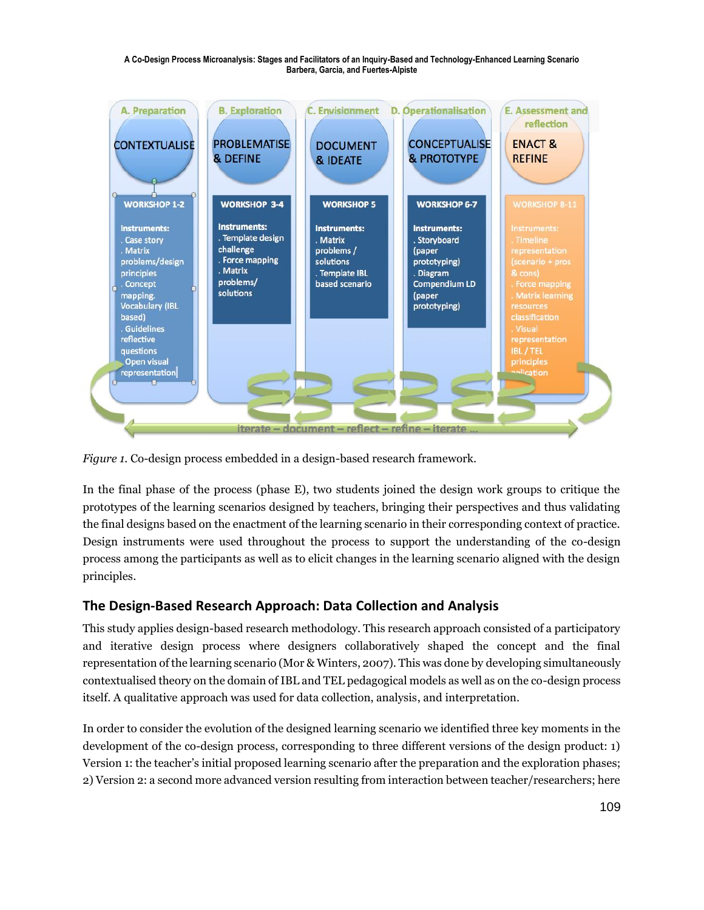

*Figure 1.* Co-design process embedded in a design-based research framework.

In the final phase of the process (phase E), two students joined the design work groups to critique the prototypes of the learning scenarios designed by teachers, bringing their perspectives and thus validating the final designs based on the enactment of the learning scenario in their corresponding context of practice. Design instruments were used throughout the process to support the understanding of the co-design process among the participants as well as to elicit changes in the learning scenario aligned with the design principles.

### **The Design-Based Research Approach: Data Collection and Analysis**

This study applies design-based research methodology. This research approach consisted of a participatory and iterative design process where designers collaboratively shaped the concept and the final representation of the learning scenario (Mor & Winters, 2007). This was done by developing simultaneously contextualised theory on the domain of IBL and TEL pedagogical models as well as on the co-design process itself. A qualitative approach was used for data collection, analysis, and interpretation.

In order to consider the evolution of the designed learning scenario we identified three key moments in the development of the co-design process, corresponding to three different versions of the design product: 1) Version 1: the teacher's initial proposed learning scenario after the preparation and the exploration phases; 2) Version 2: a second more advanced version resulting from interaction between teacher/researchers; here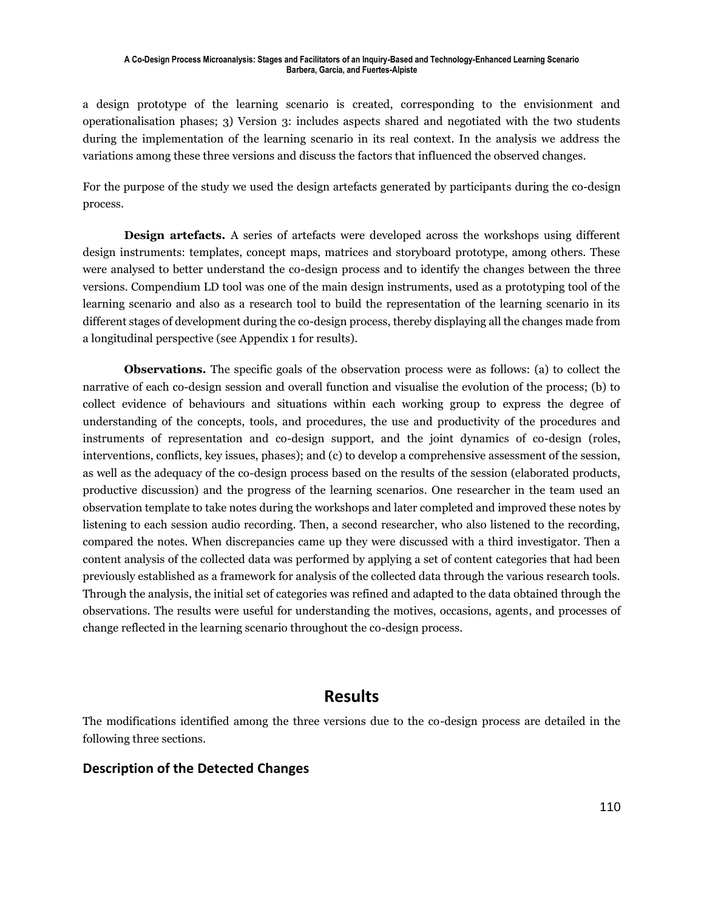a design prototype of the learning scenario is created, corresponding to the envisionment and operationalisation phases; 3) Version 3: includes aspects shared and negotiated with the two students during the implementation of the learning scenario in its real context. In the analysis we address the variations among these three versions and discuss the factors that influenced the observed changes.

For the purpose of the study we used the design artefacts generated by participants during the co-design process.

**Design artefacts.** A series of artefacts were developed across the workshops using different design instruments: templates, concept maps, matrices and storyboard prototype, among others. These were analysed to better understand the co-design process and to identify the changes between the three versions. Compendium LD tool was one of the main design instruments, used as a prototyping tool of the learning scenario and also as a research tool to build the representation of the learning scenario in its different stages of development during the co-design process, thereby displaying all the changes made from a longitudinal perspective (see Appendix 1 for results).

**Observations.** The specific goals of the observation process were as follows: (a) to collect the narrative of each co-design session and overall function and visualise the evolution of the process; (b) to collect evidence of behaviours and situations within each working group to express the degree of understanding of the concepts, tools, and procedures, the use and productivity of the procedures and instruments of representation and co-design support, and the joint dynamics of co-design (roles, interventions, conflicts, key issues, phases); and (c) to develop a comprehensive assessment of the session, as well as the adequacy of the co-design process based on the results of the session (elaborated products, productive discussion) and the progress of the learning scenarios. One researcher in the team used an observation template to take notes during the workshops and later completed and improved these notes by listening to each session audio recording. Then, a second researcher, who also listened to the recording, compared the notes. When discrepancies came up they were discussed with a third investigator. Then a content analysis of the collected data was performed by applying a set of content categories that had been previously established as a framework for analysis of the collected data through the various research tools. Through the analysis, the initial set of categories was refined and adapted to the data obtained through the observations. The results were useful for understanding the motives, occasions, agents, and processes of change reflected in the learning scenario throughout the co-design process.

### **Results**

The modifications identified among the three versions due to the co-design process are detailed in the following three sections.

### **Description of the Detected Changes**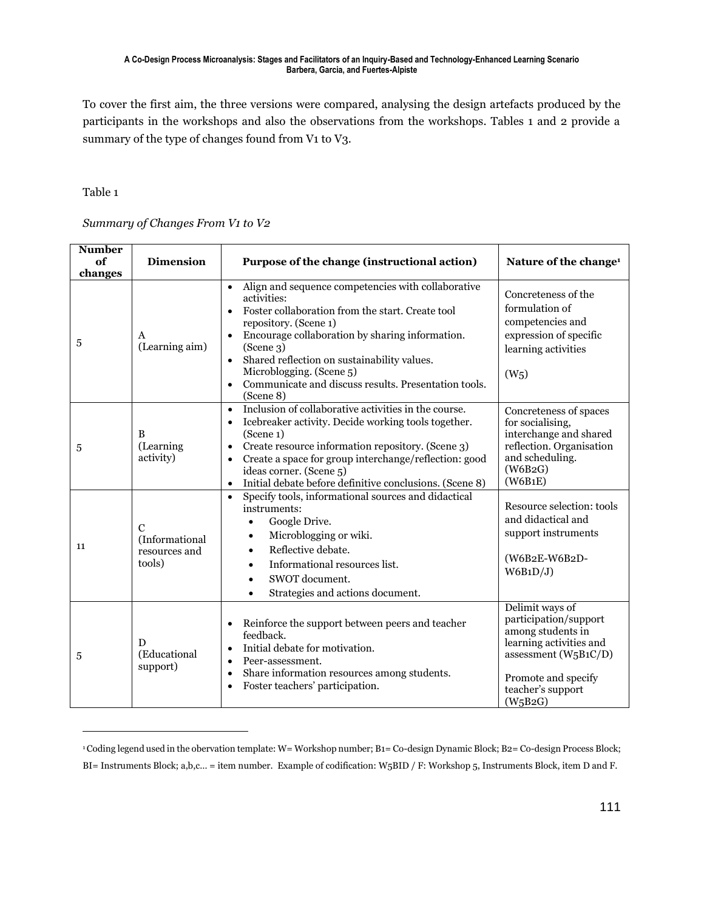To cover the first aim, the three versions were compared, analysing the design artefacts produced by the participants in the workshops and also the observations from the workshops. Tables 1 and 2 provide a summary of the type of changes found from V1 to V3.

### Table 1

 $\overline{a}$ 

### *Summary of Changes From V1 to V2*

| <b>Number</b><br>оf<br>changes | <b>Dimension</b>                                         | Purpose of the change (instructional action)                                                                                                                                                                                                                                                                                                                                                  | Nature of the change <sup>1</sup>                                                                                                                                                 |  |
|--------------------------------|----------------------------------------------------------|-----------------------------------------------------------------------------------------------------------------------------------------------------------------------------------------------------------------------------------------------------------------------------------------------------------------------------------------------------------------------------------------------|-----------------------------------------------------------------------------------------------------------------------------------------------------------------------------------|--|
| 5                              | A<br>(Learning aim)                                      | Align and sequence competencies with collaborative<br>$\bullet$<br>activities:<br>Foster collaboration from the start. Create tool<br>repository. (Scene 1)<br>Encourage collaboration by sharing information.<br>(Scene <sub>3</sub> )<br>Shared reflection on sustainability values.<br>Microblogging. (Scene 5)<br>Communicate and discuss results. Presentation tools.<br>(Scene 8)       | Concreteness of the<br>formulation of<br>competencies and<br>expression of specific<br>learning activities<br>(W <sub>5</sub> )                                                   |  |
| 5                              | B<br>(Learning<br>activity)                              | Inclusion of collaborative activities in the course.<br>$\bullet$<br>Icebreaker activity. Decide working tools together.<br>$\bullet$<br>(Scene 1)<br>Create resource information repository. (Scene 3)<br>$\bullet$<br>Create a space for group interchange/reflection: good<br>$\bullet$<br>ideas corner. (Scene 5)<br>Initial debate before definitive conclusions. (Scene 8)<br>$\bullet$ | Concreteness of spaces<br>for socialising,<br>interchange and shared<br>reflection. Organisation<br>and scheduling.<br>(W6B2G)<br>(W6B1E)                                         |  |
| 11                             | $\mathbf C$<br>(Informational<br>resources and<br>tools) | Specify tools, informational sources and didactical<br>$\bullet$<br>instruments:<br>Google Drive.<br>$\bullet$<br>Microblogging or wiki.<br>$\bullet$<br>Reflective debate.<br>Informational resources list.<br>SWOT document.<br>Strategies and actions document.                                                                                                                            | Resource selection: tools<br>and didactical and<br>support instruments<br>(W6B2E-W6B2D-<br>W6B1D/J)                                                                               |  |
| 5                              | D<br>(Educational<br>support)                            | Reinforce the support between peers and teacher<br>$\bullet$<br>feedback.<br>Initial debate for motivation.<br>Peer-assessment.<br>$\bullet$<br>Share information resources among students.<br>$\bullet$<br>Foster teachers' participation.<br>$\bullet$                                                                                                                                      | Delimit ways of<br>participation/support<br>among students in<br>learning activities and<br>assessment ( $W_5B_1C/D$ )<br>Promote and specify<br>teacher's support<br>$(W_5B_2G)$ |  |

<sup>1</sup>Coding legend used in the obervation template: W= Workshop number; B1= Co-design Dynamic Block; B2= Co-design Process Block; BI= Instruments Block; a,b,c… = item number. Example of codification: W5BID / F: Workshop 5, Instruments Block, item D and F.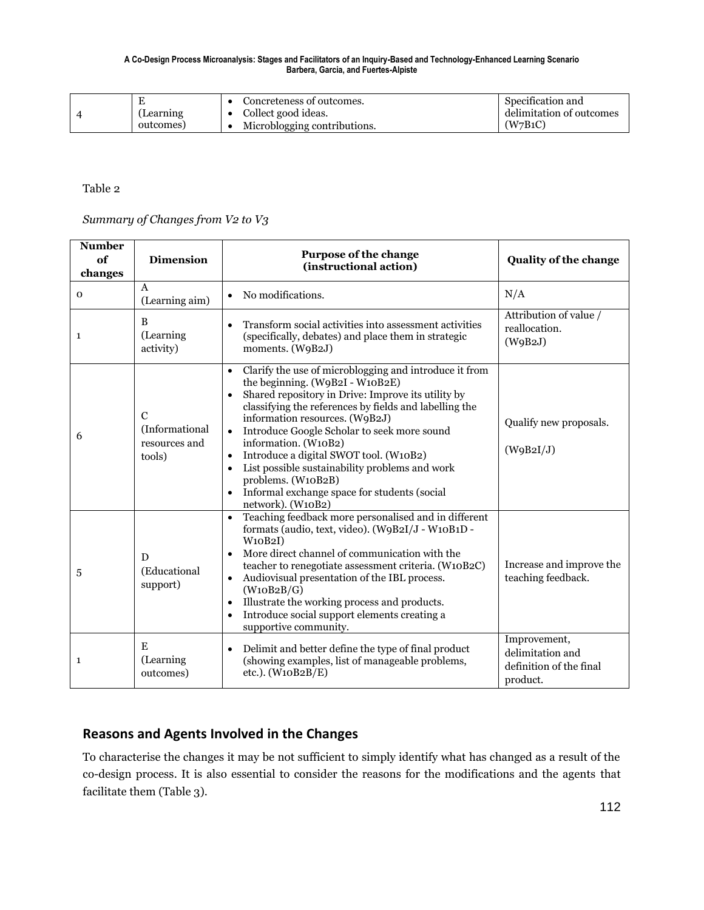|           | Concreteness of outcomes.    | Specification and        |
|-----------|------------------------------|--------------------------|
| (Learning | Collect good ideas.          | delimitation of outcomes |
| outcomes) | Microblogging contributions. | (W7B1C)                  |

Table 2

### *Summary of Changes from V2 to V3*

| <b>Number</b><br>of<br>changes | <b>Dimension</b>                                         | <b>Purpose of the change</b><br>(instructional action)                                                                                                                                                                                                                                                                                                                                                                                                                                                                                                                                  | <b>Quality of the change</b>                                            |  |
|--------------------------------|----------------------------------------------------------|-----------------------------------------------------------------------------------------------------------------------------------------------------------------------------------------------------------------------------------------------------------------------------------------------------------------------------------------------------------------------------------------------------------------------------------------------------------------------------------------------------------------------------------------------------------------------------------------|-------------------------------------------------------------------------|--|
| $\mathbf 0$                    | $\mathsf{A}$<br>(Learning aim)                           | No modifications.<br>$\bullet$                                                                                                                                                                                                                                                                                                                                                                                                                                                                                                                                                          | N/A                                                                     |  |
| 1                              | B<br>(Learning<br>activity)                              | Transform social activities into assessment activities<br>$\bullet$<br>(specifically, debates) and place them in strategic<br>moments. (W9B2J)                                                                                                                                                                                                                                                                                                                                                                                                                                          | Attribution of value /<br>reallocation.<br>(W9B2J)                      |  |
| 6                              | $\mathbf C$<br>(Informational<br>resources and<br>tools) | Clarify the use of microblogging and introduce it from<br>$\bullet$<br>the beginning. (W9B2I - W10B2E)<br>Shared repository in Drive: Improve its utility by<br>$\bullet$<br>classifying the references by fields and labelling the<br>information resources. (W9B2J)<br>Introduce Google Scholar to seek more sound<br>$\bullet$<br>information. (W10B2)<br>Introduce a digital SWOT tool. (W10B2)<br>$\bullet$<br>List possible sustainability problems and work<br>$\bullet$<br>problems. (W10B2B)<br>Informal exchange space for students (social<br>$\bullet$<br>network). (W10B2) | Qualify new proposals.<br>(W9B2I/J)                                     |  |
| 5                              | D<br>(Educational<br>support)                            | Teaching feedback more personalised and in different<br>$\bullet$<br>formats (audio, text, video). (W9B2I/J - W10B1D -<br>W10B2I)<br>More direct channel of communication with the<br>$\bullet$<br>teacher to renegotiate assessment criteria. (W10B2C)<br>Audiovisual presentation of the IBL process.<br>$\bullet$<br>(W10B2B/G)<br>Illustrate the working process and products.<br>٠<br>Introduce social support elements creating a<br>$\bullet$<br>supportive community.                                                                                                           |                                                                         |  |
| 1                              | E<br>(Learning<br>outcomes)                              | Delimit and better define the type of final product<br>$\bullet$<br>(showing examples, list of manageable problems,<br>etc.). (W10B2B/E)                                                                                                                                                                                                                                                                                                                                                                                                                                                | Improvement,<br>delimitation and<br>definition of the final<br>product. |  |

### **Reasons and Agents Involved in the Changes**

To characterise the changes it may be not sufficient to simply identify what has changed as a result of the co-design process. It is also essential to consider the reasons for the modifications and the agents that facilitate them (Table 3).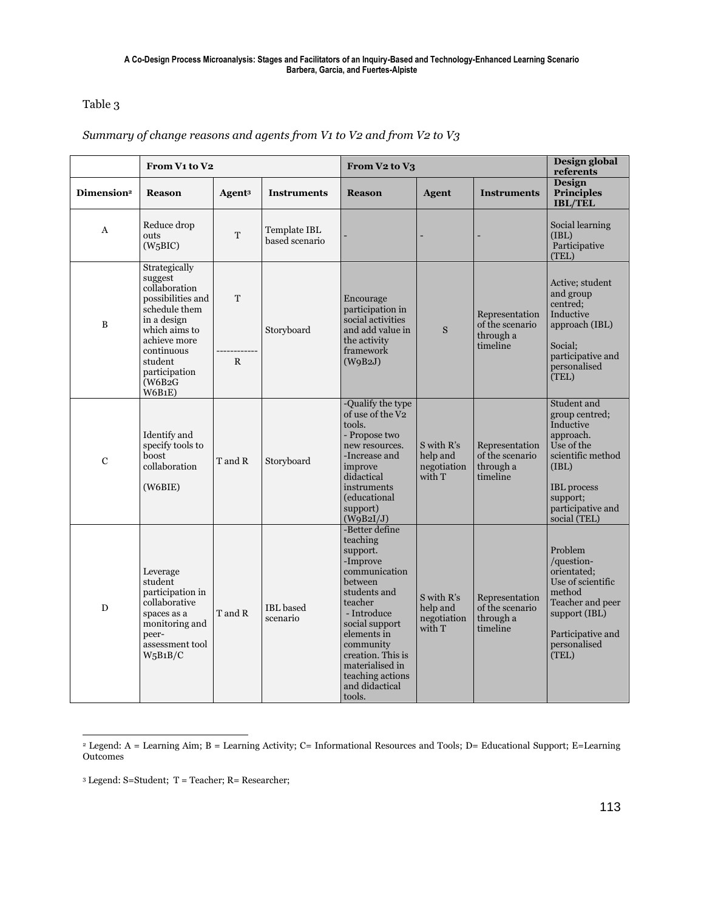### Table 3

### *Summary of change reasons and agents from V1 to V2 and from V2 to V3*

|                        | From V1 to V2                                                                                                                                                                                  |                    |                                       | From V <sub>2</sub> to V <sub>3</sub>                                                                                                                                                                                                                          |                                                     |                                                            | Design global<br>referents                                                                                                                                                 |
|------------------------|------------------------------------------------------------------------------------------------------------------------------------------------------------------------------------------------|--------------------|---------------------------------------|----------------------------------------------------------------------------------------------------------------------------------------------------------------------------------------------------------------------------------------------------------------|-----------------------------------------------------|------------------------------------------------------------|----------------------------------------------------------------------------------------------------------------------------------------------------------------------------|
| Dimension <sup>2</sup> | <b>Reason</b>                                                                                                                                                                                  | Agent <sup>3</sup> | <b>Instruments</b>                    | <b>Reason</b>                                                                                                                                                                                                                                                  | Agent                                               | <b>Instruments</b>                                         | <b>Design</b><br><b>Principles</b><br><b>IBL/TEL</b>                                                                                                                       |
| A                      | Reduce drop<br>outs<br>$(W_5BIC)$                                                                                                                                                              | T                  | <b>Template IBL</b><br>based scenario |                                                                                                                                                                                                                                                                |                                                     |                                                            | Social learning<br>(IBL)<br>Participative<br>(TEL)                                                                                                                         |
| B                      | Strategically<br>suggest<br>collaboration<br>possibilities and<br>schedule them<br>in a design<br>which aims to<br>achieve more<br>continuous<br>student<br>participation<br>(W6B2G)<br>W6B1E) | T<br>R             | Storyboard                            | Encourage<br>participation in<br>social activities<br>and add value in<br>the activity<br>framework<br>(WqB2J)                                                                                                                                                 | S                                                   | Representation<br>of the scenario<br>through a<br>timeline | Active; student<br>and group<br>centred:<br>Inductive<br>approach (IBL)<br>Social:<br>participative and<br>personalised<br>(TEL)                                           |
| $\mathbf C$            | Identify and<br>specify tools to<br>boost<br>collaboration<br>(W6BIE)                                                                                                                          | T and R            | Storyboard                            | -Qualify the type<br>of use of the V <sub>2</sub><br>tools.<br>- Propose two<br>new resources.<br>-Increase and<br>improve<br>didactical<br>instruments<br><i>(educational</i><br>support)<br>$(\hat{W}$ 9B2I/J)                                               | S with R's<br>help and<br>negotiation<br>with T     | Representation<br>of the scenario<br>through a<br>timeline | Student and<br>group centred;<br>Inductive<br>approach.<br>Use of the<br>scientific method<br>(IBL)<br><b>IBL</b> process<br>support:<br>participative and<br>social (TEL) |
| D                      | Leverage<br>student<br>participation in<br>collaborative<br>spaces as a<br>monitoring and<br>peer-<br>assessment tool<br>$W_5B_1B/C$                                                           | T and R            | <b>IBL</b> based<br>scenario          | -Better define<br>teaching<br>support.<br>-Improve<br>communication<br>between<br>students and<br>teacher<br>- Introduce<br>social support<br>elements in<br>community<br>creation. This is<br>materialised in<br>teaching actions<br>and didactical<br>tools. | $S$ with $R's$<br>help and<br>negotiation<br>with T | Representation<br>of the scenario<br>through a<br>timeline | Problem<br>/question-<br>orientated:<br>Use of scientific<br>method<br>Teacher and peer<br>support (IBL)<br>Participative and<br>personalised<br>(TEL)                     |

 <sup>2</sup> Legend: A = Learning Aim; B = Learning Activity; C= Informational Resources and Tools; D= Educational Support; E=Learning Outcomes

<sup>3</sup> Legend: S=Student; T = Teacher; R= Researcher;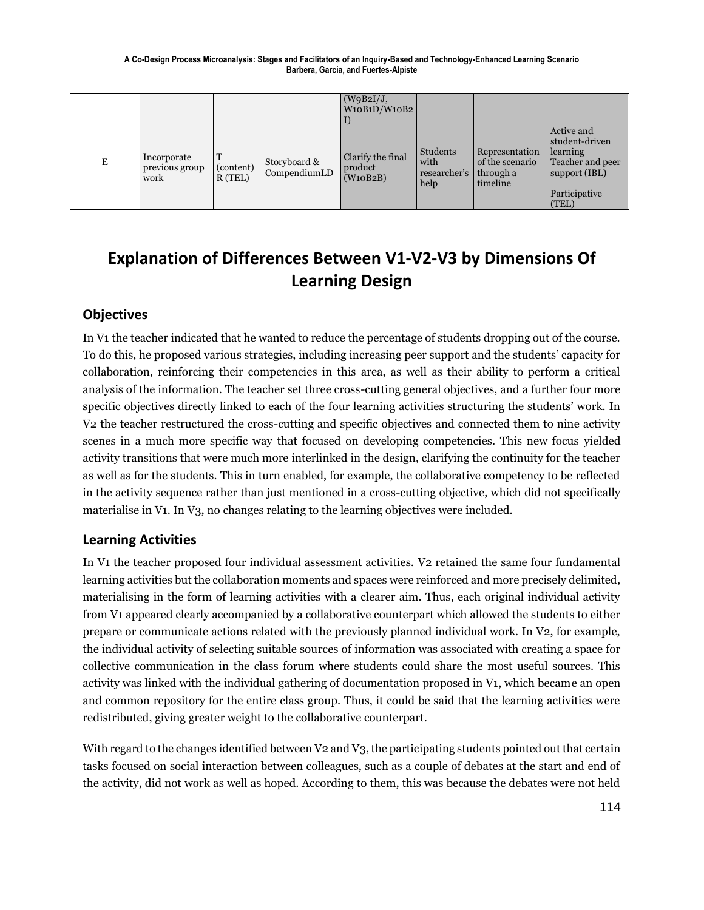|   |                                       |                             |                              | (W 9B2I/J,<br>W10B1D/W10B2               |                                                 |                                                            |                                                                                                         |
|---|---------------------------------------|-----------------------------|------------------------------|------------------------------------------|-------------------------------------------------|------------------------------------------------------------|---------------------------------------------------------------------------------------------------------|
| Е | Incorporate<br>previous group<br>work | T<br>(content)<br>$R$ (TEL) | Storyboard &<br>CompendiumLD | Clarify the final<br>product<br>(W10B2B) | <b>Students</b><br>with<br>researcher's<br>help | Representation<br>of the scenario<br>through a<br>timeline | Active and<br>student-driven<br>learning<br>Teacher and peer<br>support (IBL)<br>Participative<br>(TEL) |

## **Explanation of Differences Between V1-V2-V3 by Dimensions Of Learning Design**

### **Objectives**

In V1 the teacher indicated that he wanted to reduce the percentage of students dropping out of the course. To do this, he proposed various strategies, including increasing peer support and the students' capacity for collaboration, reinforcing their competencies in this area, as well as their ability to perform a critical analysis of the information. The teacher set three cross-cutting general objectives, and a further four more specific objectives directly linked to each of the four learning activities structuring the students' work. In V2 the teacher restructured the cross-cutting and specific objectives and connected them to nine activity scenes in a much more specific way that focused on developing competencies. This new focus yielded activity transitions that were much more interlinked in the design, clarifying the continuity for the teacher as well as for the students. This in turn enabled, for example, the collaborative competency to be reflected in the activity sequence rather than just mentioned in a cross-cutting objective, which did not specifically materialise in V1. In V3, no changes relating to the learning objectives were included.

### **Learning Activities**

In V1 the teacher proposed four individual assessment activities. V2 retained the same four fundamental learning activities but the collaboration moments and spaces were reinforced and more precisely delimited, materialising in the form of learning activities with a clearer aim. Thus, each original individual activity from V1 appeared clearly accompanied by a collaborative counterpart which allowed the students to either prepare or communicate actions related with the previously planned individual work. In V2, for example, the individual activity of selecting suitable sources of information was associated with creating a space for collective communication in the class forum where students could share the most useful sources. This activity was linked with the individual gathering of documentation proposed in V1, which became an open and common repository for the entire class group. Thus, it could be said that the learning activities were redistributed, giving greater weight to the collaborative counterpart.

With regard to the changes identified between V2 and V3, the participating students pointed out that certain tasks focused on social interaction between colleagues, such as a couple of debates at the start and end of the activity, did not work as well as hoped. According to them, this was because the debates were not held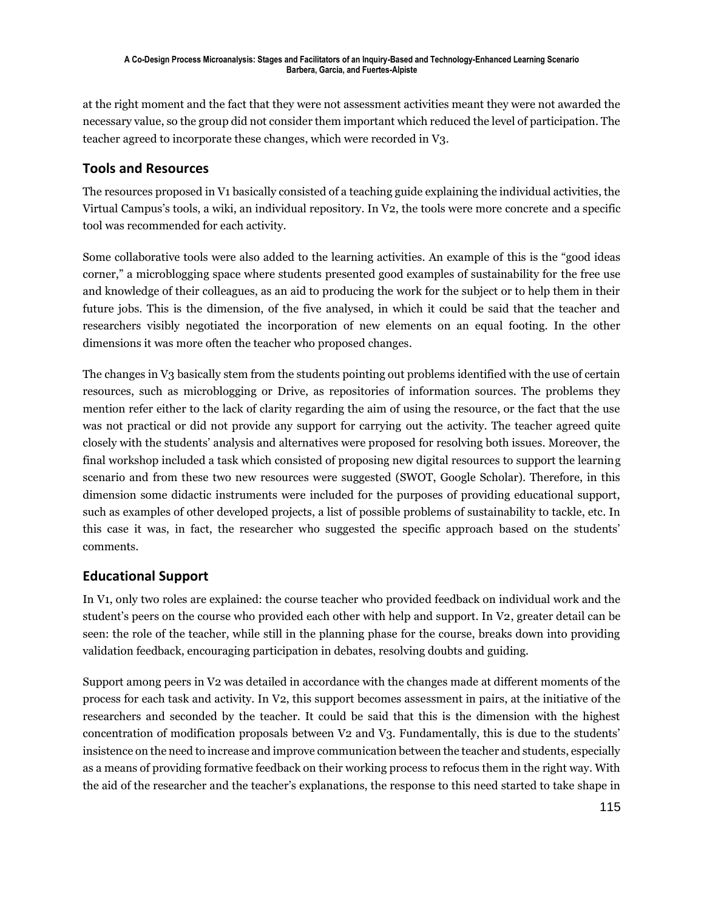at the right moment and the fact that they were not assessment activities meant they were not awarded the necessary value, so the group did not consider them important which reduced the level of participation. The teacher agreed to incorporate these changes, which were recorded in V3.

### **Tools and Resources**

The resources proposed in V1 basically consisted of a teaching guide explaining the individual activities, the Virtual Campus's tools, a wiki, an individual repository. In V2, the tools were more concrete and a specific tool was recommended for each activity.

Some collaborative tools were also added to the learning activities. An example of this is the "good ideas corner," a microblogging space where students presented good examples of sustainability for the free use and knowledge of their colleagues, as an aid to producing the work for the subject or to help them in their future jobs. This is the dimension, of the five analysed, in which it could be said that the teacher and researchers visibly negotiated the incorporation of new elements on an equal footing. In the other dimensions it was more often the teacher who proposed changes.

The changes in V3 basically stem from the students pointing out problems identified with the use of certain resources, such as microblogging or Drive, as repositories of information sources. The problems they mention refer either to the lack of clarity regarding the aim of using the resource, or the fact that the use was not practical or did not provide any support for carrying out the activity. The teacher agreed quite closely with the students' analysis and alternatives were proposed for resolving both issues. Moreover, the final workshop included a task which consisted of proposing new digital resources to support the learning scenario and from these two new resources were suggested (SWOT, Google Scholar). Therefore, in this dimension some didactic instruments were included for the purposes of providing educational support, such as examples of other developed projects, a list of possible problems of sustainability to tackle, etc. In this case it was, in fact, the researcher who suggested the specific approach based on the students' comments.

### **Educational Support**

In V1, only two roles are explained: the course teacher who provided feedback on individual work and the student's peers on the course who provided each other with help and support. In V2, greater detail can be seen: the role of the teacher, while still in the planning phase for the course, breaks down into providing validation feedback, encouraging participation in debates, resolving doubts and guiding.

Support among peers in V2 was detailed in accordance with the changes made at different moments of the process for each task and activity. In V2, this support becomes assessment in pairs, at the initiative of the researchers and seconded by the teacher. It could be said that this is the dimension with the highest concentration of modification proposals between V2 and V3. Fundamentally, this is due to the students' insistence on the need to increase and improve communication between the teacher and students, especially as a means of providing formative feedback on their working process to refocus them in the right way. With the aid of the researcher and the teacher's explanations, the response to this need started to take shape in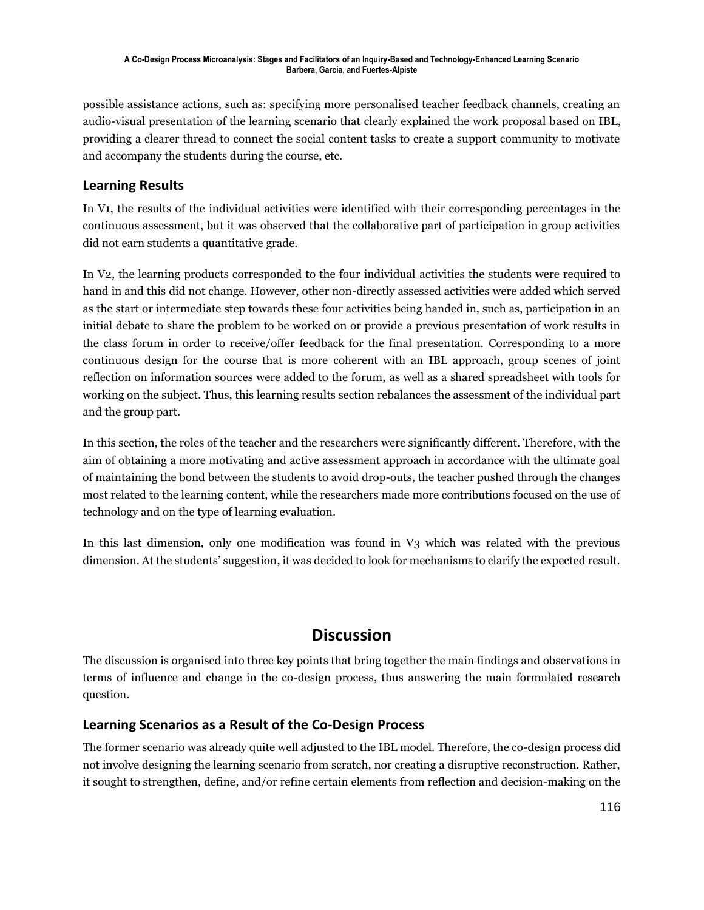possible assistance actions, such as: specifying more personalised teacher feedback channels, creating an audio-visual presentation of the learning scenario that clearly explained the work proposal based on IBL, providing a clearer thread to connect the social content tasks to create a support community to motivate and accompany the students during the course, etc.

### **Learning Results**

In V1, the results of the individual activities were identified with their corresponding percentages in the continuous assessment, but it was observed that the collaborative part of participation in group activities did not earn students a quantitative grade.

In V2, the learning products corresponded to the four individual activities the students were required to hand in and this did not change. However, other non-directly assessed activities were added which served as the start or intermediate step towards these four activities being handed in, such as, participation in an initial debate to share the problem to be worked on or provide a previous presentation of work results in the class forum in order to receive/offer feedback for the final presentation. Corresponding to a more continuous design for the course that is more coherent with an IBL approach, group scenes of joint reflection on information sources were added to the forum, as well as a shared spreadsheet with tools for working on the subject. Thus, this learning results section rebalances the assessment of the individual part and the group part.

In this section, the roles of the teacher and the researchers were significantly different. Therefore, with the aim of obtaining a more motivating and active assessment approach in accordance with the ultimate goal of maintaining the bond between the students to avoid drop-outs, the teacher pushed through the changes most related to the learning content, while the researchers made more contributions focused on the use of technology and on the type of learning evaluation.

In this last dimension, only one modification was found in V3 which was related with the previous dimension. At the students' suggestion, it was decided to look for mechanisms to clarify the expected result.

## **Discussion**

The discussion is organised into three key points that bring together the main findings and observations in terms of influence and change in the co-design process, thus answering the main formulated research question.

### **Learning Scenarios as a Result of the Co-Design Process**

The former scenario was already quite well adjusted to the IBL model. Therefore, the co-design process did not involve designing the learning scenario from scratch, nor creating a disruptive reconstruction. Rather, it sought to strengthen, define, and/or refine certain elements from reflection and decision-making on the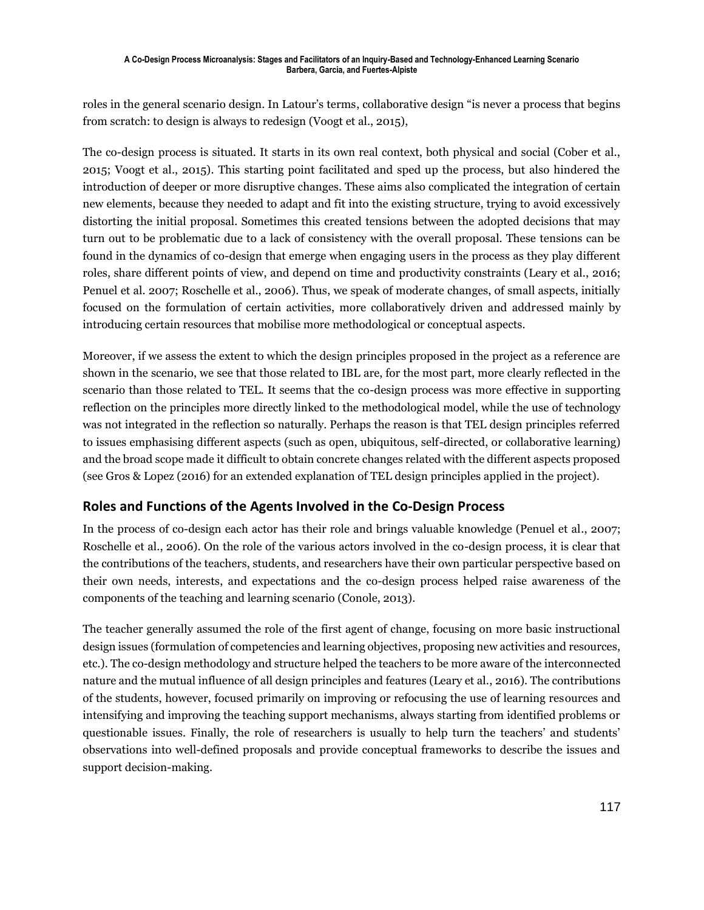roles in the general scenario design. In Latour's terms, collaborative design "is never a process that begins from scratch: to design is always to redesign (Voogt et al., 2015),

The co-design process is situated. It starts in its own real context, both physical and social (Cober et al., 2015; Voogt et al., 2015). This starting point facilitated and sped up the process, but also hindered the introduction of deeper or more disruptive changes. These aims also complicated the integration of certain new elements, because they needed to adapt and fit into the existing structure, trying to avoid excessively distorting the initial proposal. Sometimes this created tensions between the adopted decisions that may turn out to be problematic due to a lack of consistency with the overall proposal. These tensions can be found in the dynamics of co-design that emerge when engaging users in the process as they play different roles, share different points of view, and depend on time and productivity constraints (Leary et al., 2016; Penuel et al. 2007; Roschelle et al., 2006). Thus, we speak of moderate changes, of small aspects, initially focused on the formulation of certain activities, more collaboratively driven and addressed mainly by introducing certain resources that mobilise more methodological or conceptual aspects.

Moreover, if we assess the extent to which the design principles proposed in the project as a reference are shown in the scenario, we see that those related to IBL are, for the most part, more clearly reflected in the scenario than those related to TEL. It seems that the co-design process was more effective in supporting reflection on the principles more directly linked to the methodological model, while the use of technology was not integrated in the reflection so naturally. Perhaps the reason is that TEL design principles referred to issues emphasising different aspects (such as open, ubiquitous, self-directed, or collaborative learning) and the broad scope made it difficult to obtain concrete changes related with the different aspects proposed (see Gros & Lopez (2016) for an extended explanation of TEL design principles applied in the project).

### **Roles and Functions of the Agents Involved in the Co-Design Process**

In the process of co-design each actor has their role and brings valuable knowledge (Penuel et al., 2007; Roschelle et al., 2006). On the role of the various actors involved in the co-design process, it is clear that the contributions of the teachers, students, and researchers have their own particular perspective based on their own needs, interests, and expectations and the co-design process helped raise awareness of the components of the teaching and learning scenario (Conole, 2013).

The teacher generally assumed the role of the first agent of change, focusing on more basic instructional design issues (formulation of competencies and learning objectives, proposing new activities and resources, etc.). The co-design methodology and structure helped the teachers to be more aware of the interconnected nature and the mutual influence of all design principles and features (Leary et al., 2016). The contributions of the students, however, focused primarily on improving or refocusing the use of learning resources and intensifying and improving the teaching support mechanisms, always starting from identified problems or questionable issues. Finally, the role of researchers is usually to help turn the teachers' and students' observations into well-defined proposals and provide conceptual frameworks to describe the issues and support decision-making.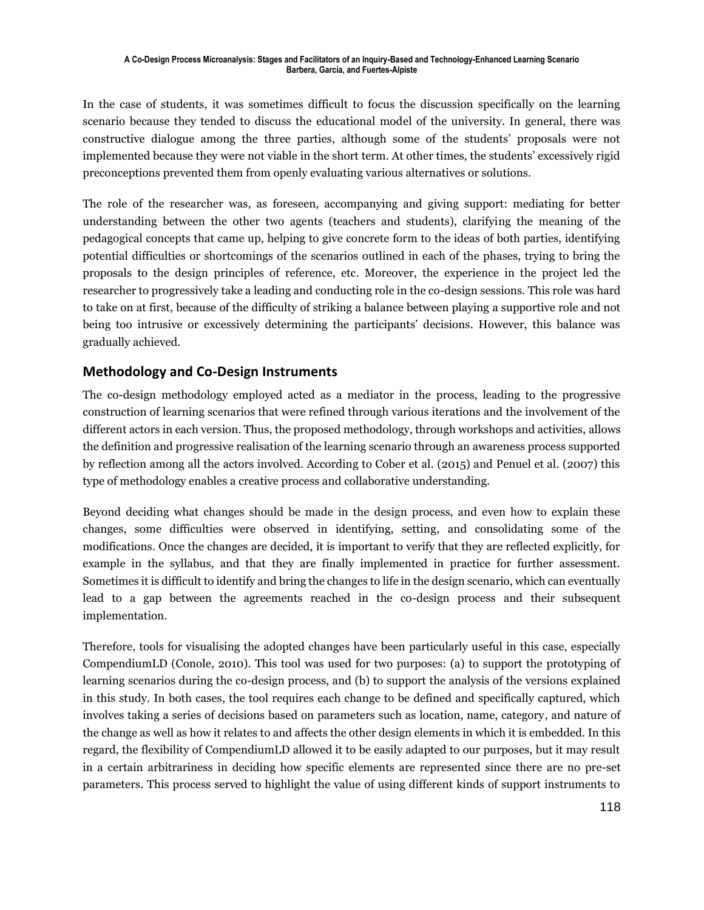In the case of students, it was sometimes difficult to focus the discussion specifically on the learning scenario because they tended to discuss the educational model of the university. In general, there was constructive dialogue among the three parties, although some of the students' proposals were not implemented because they were not viable in the short term. At other times, the students' excessively rigid preconceptions prevented them from openly evaluating various alternatives or solutions.

The role of the researcher was, as foreseen, accompanying and giving support: mediating for better understanding between the other two agents (teachers and students), clarifying the meaning of the pedagogical concepts that came up, helping to give concrete form to the ideas of both parties, identifying potential difficulties or shortcomings of the scenarios outlined in each of the phases, trying to bring the proposals to the design principles of reference, etc. Moreover, the experience in the project led the researcher to progressively take a leading and conducting role in the co-design sessions. This role was hard to take on at first, because of the difficulty of striking a balance between playing a supportive role and not being too intrusive or excessively determining the participants' decisions. However, this balance was gradually achieved.

### **Methodology and Co-Design Instruments**

The co-design methodology employed acted as a mediator in the process, leading to the progressive construction of learning scenarios that were refined through various iterations and the involvement of the different actors in each version. Thus, the proposed methodology, through workshops and activities, allows the definition and progressive realisation of the learning scenario through an awareness process supported by reflection among all the actors involved. According to Cober et al. (2015) and Penuel et al. (2007) this type of methodology enables a creative process and collaborative understanding.

Beyond deciding what changes should be made in the design process, and even how to explain these changes, some difficulties were observed in identifying, setting, and consolidating some of the modifications. Once the changes are decided, it is important to verify that they are reflected explicitly, for example in the syllabus, and that they are finally implemented in practice for further assessment. Sometimes it is difficult to identify and bring the changes to life in the design scenario, which can eventually lead to a gap between the agreements reached in the co-design process and their subsequent implementation.

Therefore, tools for visualising the adopted changes have been particularly useful in this case, especially CompendiumLD (Conole, 2010). This tool was used for two purposes: (a) to support the prototyping of learning scenarios during the co-design process, and (b) to support the analysis of the versions explained in this study. In both cases, the tool requires each change to be defined and specifically captured, which involves taking a series of decisions based on parameters such as location, name, category, and nature of the change as well as how it relates to and affects the other design elements in which it is embedded. In this regard, the flexibility of CompendiumLD allowed it to be easily adapted to our purposes, but it may result in a certain arbitrariness in deciding how specific elements are represented since there are no pre-set parameters. This process served to highlight the value of using different kinds of support instruments to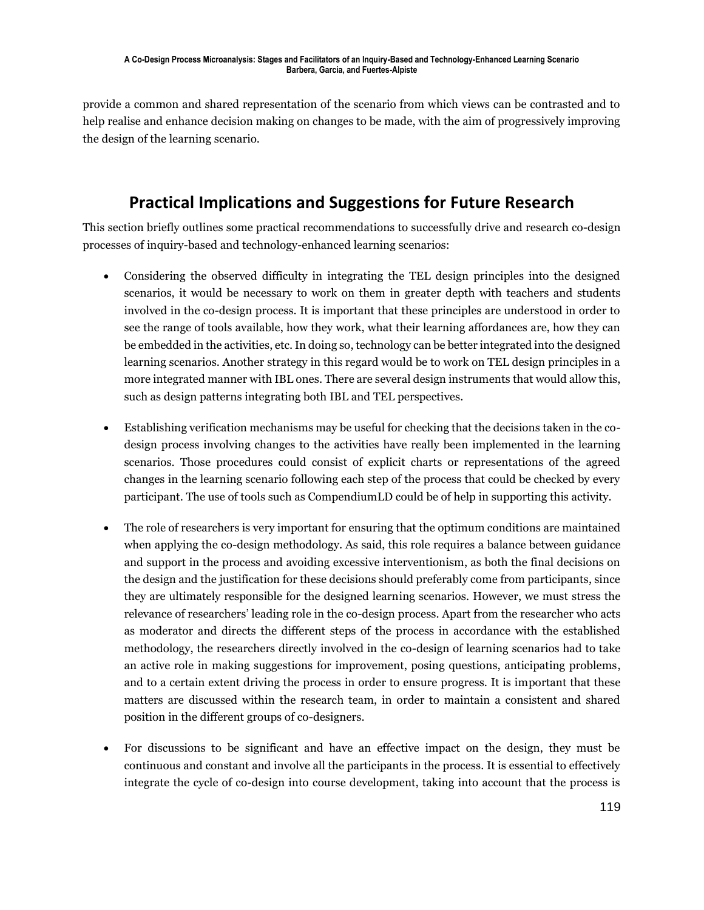provide a common and shared representation of the scenario from which views can be contrasted and to help realise and enhance decision making on changes to be made, with the aim of progressively improving the design of the learning scenario.

## **Practical Implications and Suggestions for Future Research**

This section briefly outlines some practical recommendations to successfully drive and research co-design processes of inquiry-based and technology-enhanced learning scenarios:

- Considering the observed difficulty in integrating the TEL design principles into the designed scenarios, it would be necessary to work on them in greater depth with teachers and students involved in the co-design process. It is important that these principles are understood in order to see the range of tools available, how they work, what their learning affordances are, how they can be embedded in the activities, etc. In doing so, technology can be better integrated into the designed learning scenarios. Another strategy in this regard would be to work on TEL design principles in a more integrated manner with IBL ones. There are several design instruments that would allow this, such as design patterns integrating both IBL and TEL perspectives.
- Establishing verification mechanisms may be useful for checking that the decisions taken in the codesign process involving changes to the activities have really been implemented in the learning scenarios. Those procedures could consist of explicit charts or representations of the agreed changes in the learning scenario following each step of the process that could be checked by every participant. The use of tools such as CompendiumLD could be of help in supporting this activity.
- The role of researchers is very important for ensuring that the optimum conditions are maintained when applying the co-design methodology. As said, this role requires a balance between guidance and support in the process and avoiding excessive interventionism, as both the final decisions on the design and the justification for these decisions should preferably come from participants, since they are ultimately responsible for the designed learning scenarios. However, we must stress the relevance of researchers' leading role in the co-design process. Apart from the researcher who acts as moderator and directs the different steps of the process in accordance with the established methodology, the researchers directly involved in the co-design of learning scenarios had to take an active role in making suggestions for improvement, posing questions, anticipating problems, and to a certain extent driving the process in order to ensure progress. It is important that these matters are discussed within the research team, in order to maintain a consistent and shared position in the different groups of co-designers.
- For discussions to be significant and have an effective impact on the design, they must be continuous and constant and involve all the participants in the process. It is essential to effectively integrate the cycle of co-design into course development, taking into account that the process is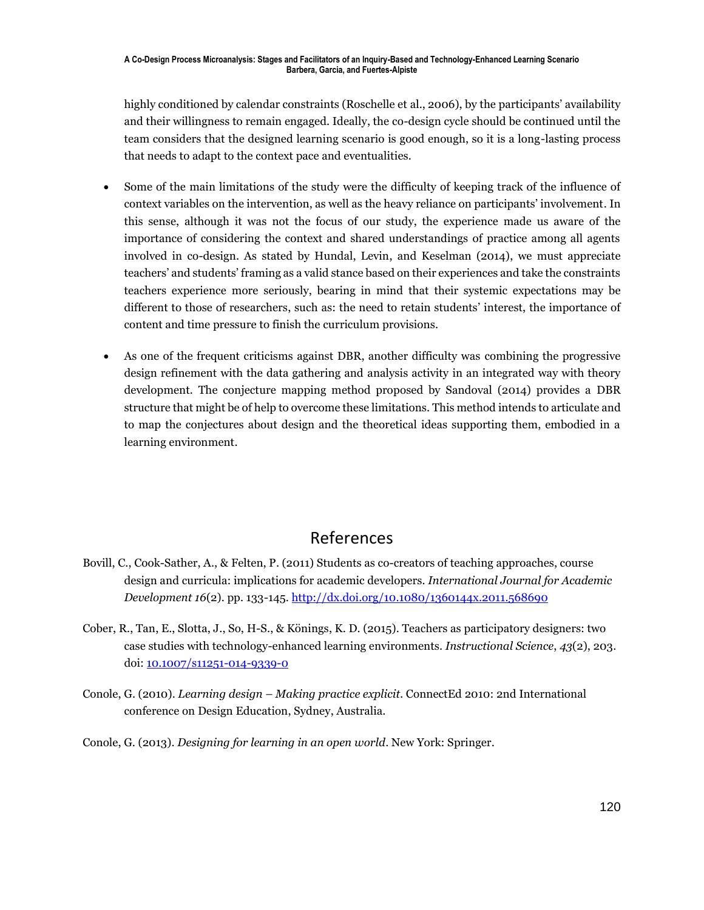highly conditioned by calendar constraints (Roschelle et al., 2006), by the participants' availability and their willingness to remain engaged. Ideally, the co-design cycle should be continued until the team considers that the designed learning scenario is good enough, so it is a long-lasting process that needs to adapt to the context pace and eventualities.

- Some of the main limitations of the study were the difficulty of keeping track of the influence of context variables on the intervention, as well as the heavy reliance on participants' involvement. In this sense, although it was not the focus of our study, the experience made us aware of the importance of considering the context and shared understandings of practice among all agents involved in co-design. As stated by Hundal, Levin, and Keselman (2014), we must appreciate teachers' and students' framing as a valid stance based on their experiences and take the constraints teachers experience more seriously, bearing in mind that their systemic expectations may be different to those of researchers, such as: the need to retain students' interest, the importance of content and time pressure to finish the curriculum provisions.
- As one of the frequent criticisms against DBR, another difficulty was combining the progressive design refinement with the data gathering and analysis activity in an integrated way with theory development. The conjecture mapping method proposed by Sandoval (2014) provides a DBR structure that might be of help to overcome these limitations. This method intends to articulate and to map the conjectures about design and the theoretical ideas supporting them, embodied in a learning environment.

### References

- Bovill, C., Cook-Sather, A., & Felten, P. (2011) Students as co-creators of teaching approaches, course design and curricula: implications for academic developers. *International Journal for Academic Development 16*(2). pp. 133-145[. http://dx.doi.org/10.1080/1360144x.2011.568690](http://dx.doi.org/10.1080/1360144x.2011.568690)
- Cober, R., Tan, E., Slotta, J., So, H-S., & Könings, K. D. (2015). Teachers as participatory designers: two case studies with technology-enhanced learning environments. *Instructional Science*, *43*(2), 203. doi: [10.1007/s11251-014-9339-0](http://dx.doi.org/10.1007/s11251-014-9339-0)
- Conole, G. (2010). *Learning design – Making practice explicit.* ConnectEd 2010: 2nd International conference on Design Education, Sydney, Australia.
- Conole, G. (2013). *Designing for learning in an open world*. New York: Springer.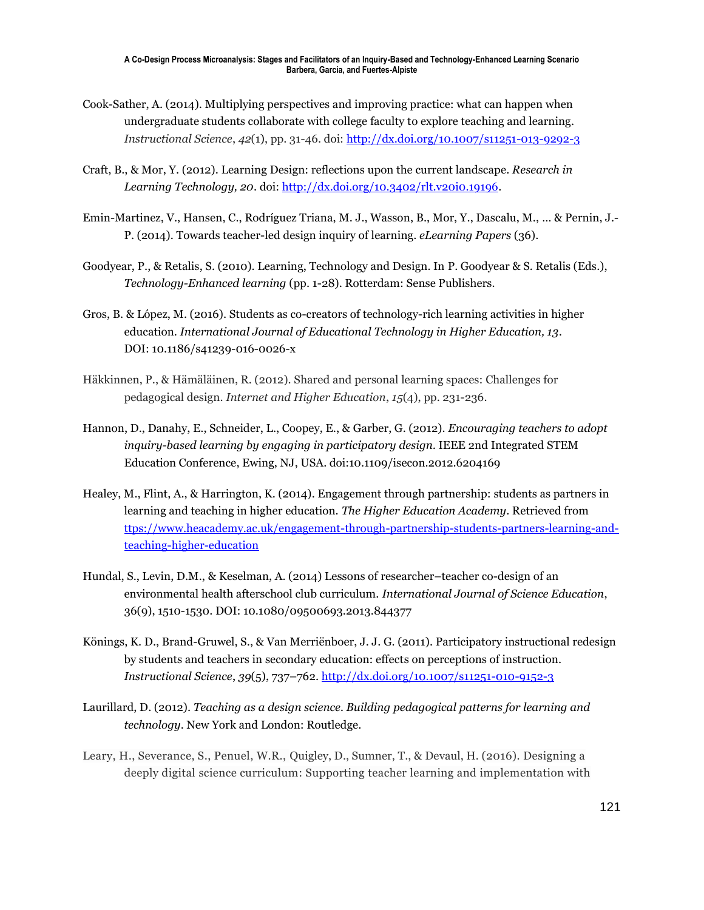- Cook-Sather, A. (2014). Multiplying perspectives and improving practice: what can happen when undergraduate students collaborate with college faculty to explore teaching and learning[.](file:///C:/Users/shenderson/AppData/Local/Temp/) *[Instructional Science](http://link.springer.com/journal/11251)*, *42*[\(1\)](http://link.springer.com/journal/11251/42/1/page/1), pp. 31-46. doi:<http://dx.doi.org/10.1007/s11251-013-9292-3>
- Craft, B., & Mor, Y. (2012). Learning Design: reflections upon the current landscape. *Research in Learning Technology, 20*. doi[: http://dx.doi.org/10.3402/rlt.v20i0.19196.](http://dx.doi.org/10.3402/rlt.v20i0.19196)
- Emin-Martinez, V., Hansen, C., Rodríguez Triana, M. J., Wasson, B., Mor, Y., Dascalu, M., … & Pernin, J.- P. (2014). Towards teacher-led design inquiry of learning. *eLearning Papers* (36).
- Goodyear, P., & Retalis, S. (2010). Learning, Technology and Design. In P. Goodyear & S. Retalis (Eds.), *Technology-Enhanced learning* (pp. 1-28). Rotterdam: Sense Publishers.
- Gros, B. & López, M. (2016). Students as co-creators of technology-rich learning activities in higher education. *International Journal of Educational Technology in Higher Education, 13.* DOI: 10.1186/s41239-016-0026-x
- Häkkinnen, P., & Hämäläinen, R. (2012). Shared and personal learning spaces: Challenges for pedagogical design. *Internet and Higher Education*, *15*(4), pp. 231-236.
- Hannon, D., Danahy, E., Schneider, L., Coopey, E., & Garber, G. (2012). *Encouraging teachers to adopt inquiry-based learning by engaging in participatory design.* IEEE 2nd Integrated STEM Education Conference, Ewing, NJ, USA. doi:10.1109/isecon.2012.6204169
- Healey, M., Flint, A., & Harrington, K. (2014). Engagement through partnership: students as partners in learning and teaching in higher education. *The Higher Education Academy*. [R](https://www.heacademy.ac.uk/engagement-through-partnership-students-partners-learning-and-teaching-higher-education)etrieved from [ttps://www.heacademy.ac.uk/engagement-through-partnership-students-partners-learning-and](https://www.heacademy.ac.uk/engagement-through-partnership-students-partners-learning-and-teaching-higher-education)[teaching-higher-education](https://www.heacademy.ac.uk/engagement-through-partnership-students-partners-learning-and-teaching-higher-education)
- Hundal, S., Levin, D.M., & Keselman, A. (2014) Lessons of researcher–teacher co-design of an environmental health afterschool club curriculum. *International Journal of Science Education*, 36(9), 1510-1530. DOI: 10.1080/09500693.2013.844377
- Könings, K. D., Brand-Gruwel, S., & Van Merriënboer, J. J. G. (2011). Participatory instructional redesign by students and teachers in secondary education: effects on perceptions of instruction. *Instructional Science*, *39*(5), 737–762[. http://dx.doi.org/10.1007/s11251-010-9152-3](http://dx.doi.org/10.1007/s11251-010-9152-3)
- Laurillard, D. (2012). *Teaching as a design science. Building pedagogical patterns for learning and technology*. New York and London: Routledge.
- Leary, H., Severance, S., Penuel, W.R., Quigley, D., Sumner, T., & Devaul, H. (2016). Designing a deeply digital science curriculum: Supporting teacher learning and implementation with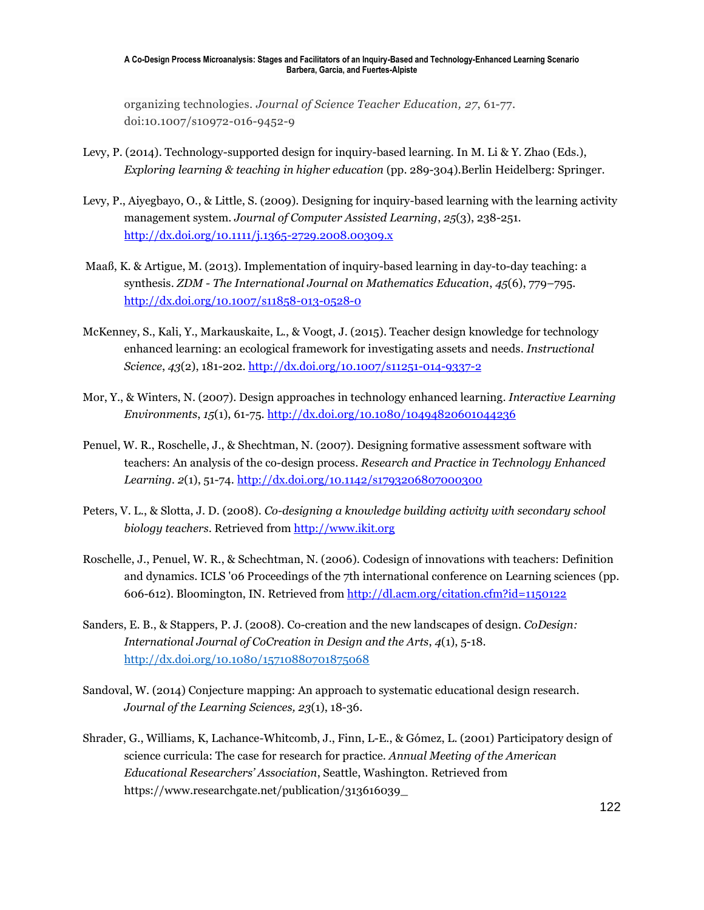organizing technologies. *Journal of Science Teacher Education, 27*, 61-77. doi:10.1007/s10972-016-9452-9

- Levy, P. (2014). Technology-supported design for inquiry-based learning. In M. Li & Y. Zhao (Eds.), *Exploring learning & teaching in higher education* (pp. 289-304).Berlin Heidelberg: Springer.
- Levy, P., Aiyegbayo, O., & Little, S. (2009). Designing for inquiry-based learning with the learning activity management system. *Journal of Computer Assisted Learning*, *25*(3), 238-251. <http://dx.doi.org/10.1111/j.1365-2729.2008.00309.x>
- Maaß, K. & Artigue, M. (2013). Implementation of inquiry-based learning in day-to-day teaching: a synthesis. *ZDM - The International Journal on Mathematics Education*, *45*(6), 779–795. <http://dx.doi.org/10.1007/s11858-013-0528-0>
- McKenney, S., Kali, Y., Markauskaite, L., & Voogt, J. (2015). Teacher design knowledge for technology enhanced learning: an ecological framework for investigating assets and needs. *Instructional Science*, *43*(2), 181-202.<http://dx.doi.org/10.1007/s11251-014-9337-2>
- Mor, Y., & Winters, N. (2007). Design approaches in technology enhanced learning. *Interactive Learning Environments*, *15*(1), 61-75[. http://dx.doi.org/10.1080/10494820601044236](http://dx.doi.org/10.1080/10494820601044236)
- Penuel, W. R., Roschelle, J., & Shechtman, N. (2007). Designing formative assessment software with teachers: An analysis of the co-design process. *Research and Practice in Technology Enhanced Learning. 2*(1), 51-74. <http://dx.doi.org/10.1142/s1793206807000300>
- Peters, V. L., & Slotta, J. D. (2008). *Co-designing a knowledge building activity with secondary school biology teachers*. Retrieved from [http://www.ikit.org](http://www.ikit.org/)
- Roschelle, J., Penuel, W. R., & Schechtman, N. (2006). Codesign of innovations with teachers: Definition and dynamics. ICLS '06 Proceedings of the 7th international conference on Learning sciences (pp. 606-612). Bloomington, IN. Retrieved from <http://dl.acm.org/citation.cfm?id=1150122>
- Sanders, E. B., & Stappers, P. J. (2008). Co-creation and the new landscapes of design. *CoDesign: International Journal of CoCreation in Design and the Arts*, *4*(1), 5-18. <http://dx.doi.org/10.1080/15710880701875068>
- Sandoval, W. (2014) Conjecture mapping: An approach to systematic educational design research. *Journal of the Learning Sciences, 23*(1), 18-36.
- Shrader, G., Williams, K, Lachance-Whitcomb, J., Finn, L-E., & Gómez, L. (2001) Participatory design of science curricula: The case for research for practice. *Annual Meeting of the American Educational Researchers' Association*, Seattle, Washington. Retrieved from https://www.researchgate.net/publication/313616039\_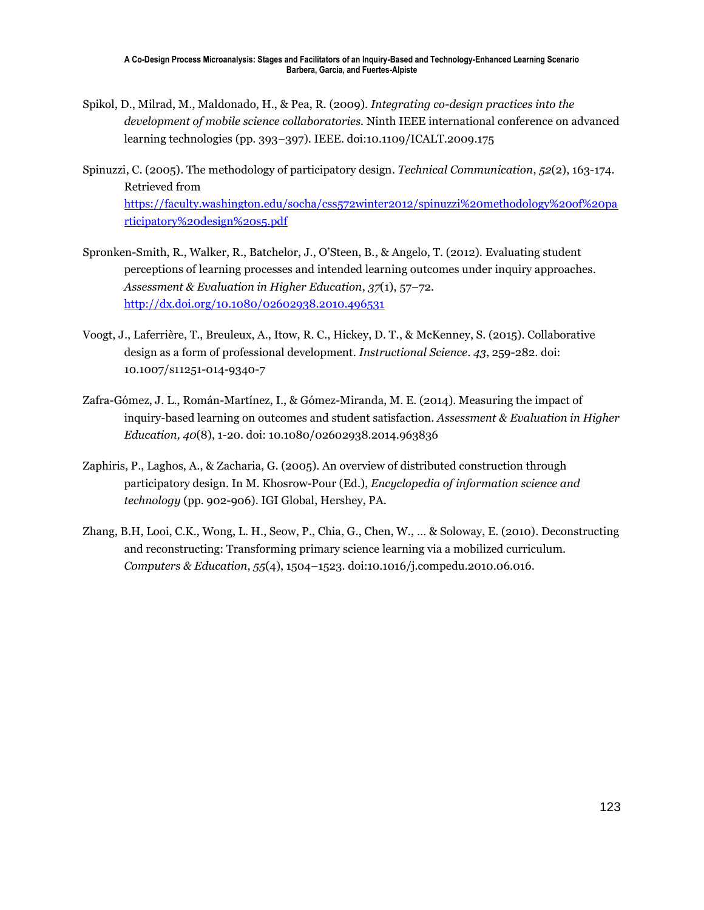- Spikol, D., Milrad, M., Maldonado, H., & Pea, R. (2009). *Integrating co-design practices into the development of mobile science collaboratories.* Ninth IEEE international conference on advanced learning technologies (pp. 393–397). IEEE. doi:10.1109/ICALT.2009.175
- Spinuzzi, C. (2005). The methodology of participatory design. *Technical Communication*, *52*(2), 163-174. Retrieved from https://faculty.washington.edu/socha/css572winter2012/spinuzzi%20methodology%20of%20pa rticipatory%20design%20s5.pdf
- Spronken-Smith, R., Walker, R., Batchelor, J., O'Steen, B., & Angelo, T. (2012). Evaluating student perceptions of learning processes and intended learning outcomes under inquiry approaches. *Assessment & Evaluation in Higher Education*, *37*(1), 57–72. <http://dx.doi.org/10.1080/02602938.2010.496531>
- Voogt, J., Laferrière, T., Breuleux, A., Itow, R. C., Hickey, D. T., & McKenney, S. (2015). Collaborative design as a form of professional development. *Instructional Science*. *43*, 259-282. doi: 10.1007/s11251-014-9340-7
- Zafra-Gómez, J. L., Román-Martínez, I., & Gómez-Miranda, M. E. (2014). Measuring the impact of inquiry-based learning on outcomes and student satisfaction. *Assessment & Evaluation in Higher Education, 40*(8), 1-20. doi: 10.1080/02602938.2014.963836
- Zaphiris, P., Laghos, A., & Zacharia, G. (2005). An overview of distributed construction through participatory design. In M. Khosrow-Pour (Ed.), *Encyclopedia of information science and technology* (pp. 902-906). IGI Global, Hershey, PA.
- Zhang, B.H, Looi, C.K., Wong, L. H., Seow, P., Chia, G., Chen, W., … & Soloway, E. (2010). Deconstructing and reconstructing: Transforming primary science learning via a mobilized curriculum. *Computers & Education*, *55*(4), 1504–1523. doi:10.1016/j.compedu.2010.06.016.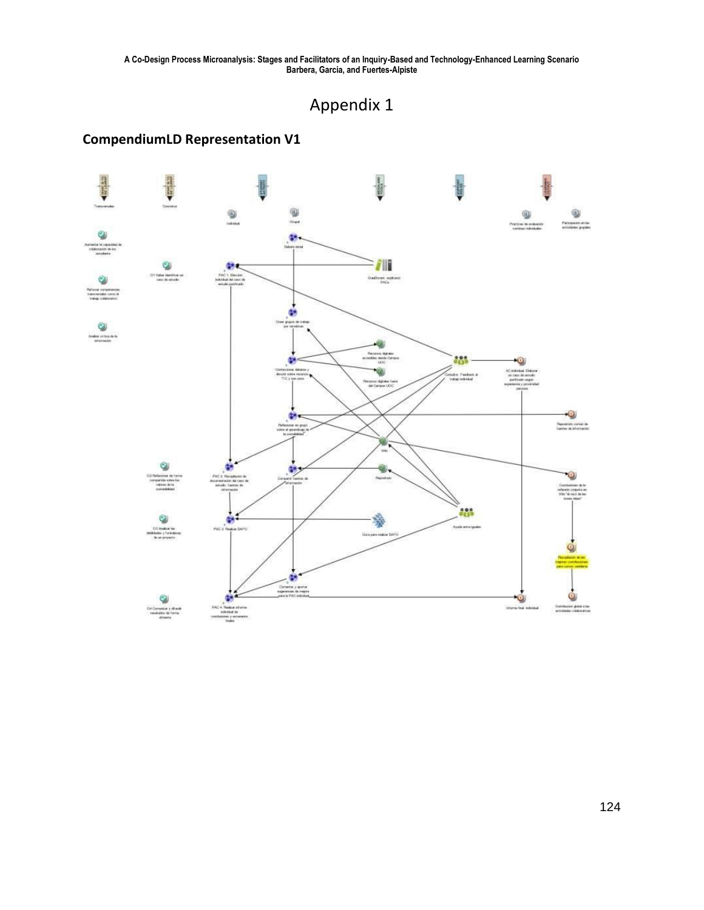Appendix 1

### **CompendiumLD Representation V1**

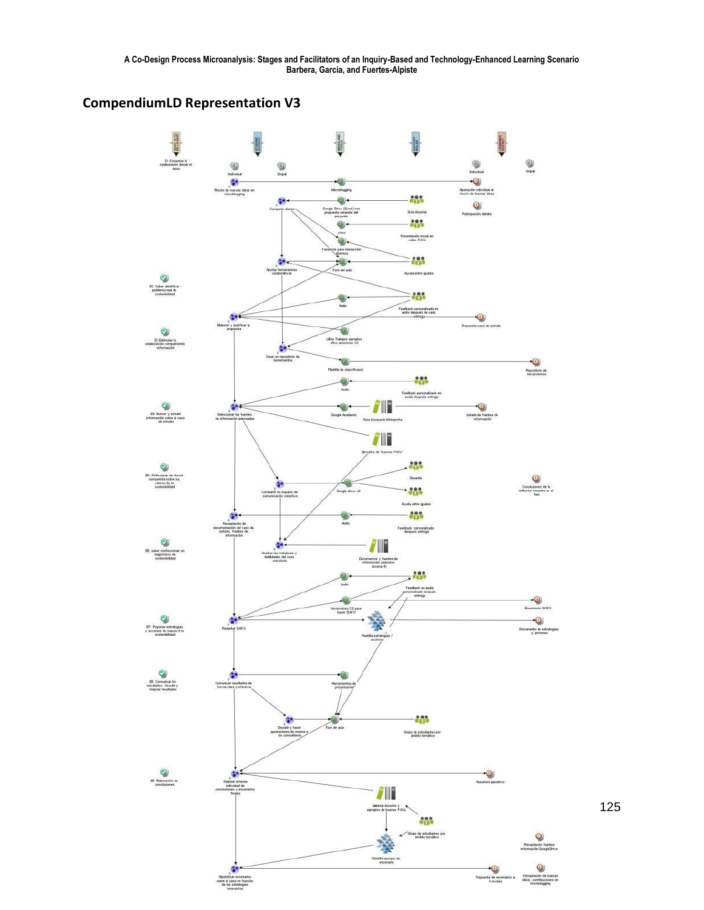### **CompendiumLD Representation V3**